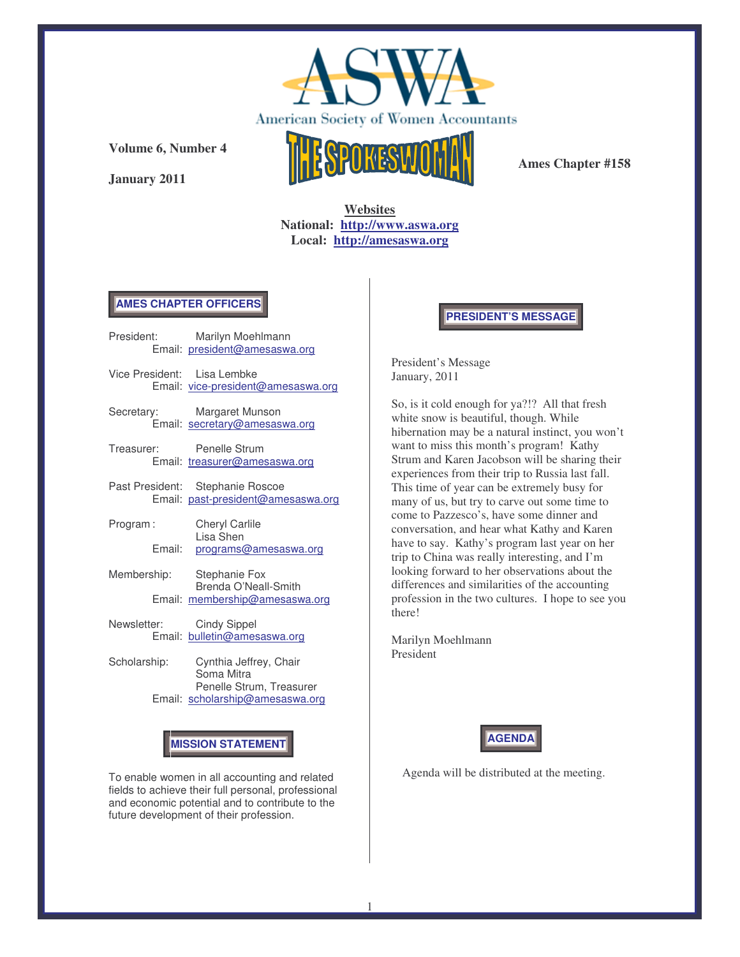

**January 2011**



**Ames Chapter #158**

**Websites National: http://www.aswa.org Local: http://amesaswa.org**

### **AMES CHAPTER OFFICERS**

- President: Marilyn Moehlmann Email: president@amesaswa.org
- Vice President: Lisa Lembke Email: vice-president@amesaswa.org
- Secretary: Margaret Munson Email: secretary@amesaswa.org
- Treasurer: Penelle Strum Email: treasurer@amesaswa.org
- Past President: Stephanie Roscoe Email: past-president@amesaswa.org
- Program : Cheryl Carlile Lisa Shen Email: programs@amesaswa.org
- Membership: Stephanie Fox Brenda O'Neall-Smith Email: membership@amesaswa.org
- Newsletter: Cindy Sippel Email: bulletin@amesaswa.org
- Scholarship: Cynthia Jeffrey, Chair Soma Mitra Penelle Strum, Treasurer Email: scholarship@amesaswa.org

# **MISSION STATEMENT**

To enable women in all accounting and related fields to achieve their full personal, professional and economic potential and to contribute to the future development of their profession.

**PRESIDENT'S MESSAGE**

President's Message January, 2011

So, is it cold enough for ya?!? All that fresh white snow is beautiful, though. While hibernation may be a natural instinct, you won't want to miss this month's program! Kathy Strum and Karen Jacobson will be sharing their experiences from their trip to Russia last fall. This time of year can be extremely busy for many of us, but try to carve out some time to come to Pazzesco's, have some dinner and conversation, and hear what Kathy and Karen have to say. Kathy's program last year on her trip to China was really interesting, and I'm looking forward to her observations about the differences and similarities of the accounting profession in the two cultures. I hope to see you there!

Marilyn Moehlmann President



Agenda will be distributed at the meeting.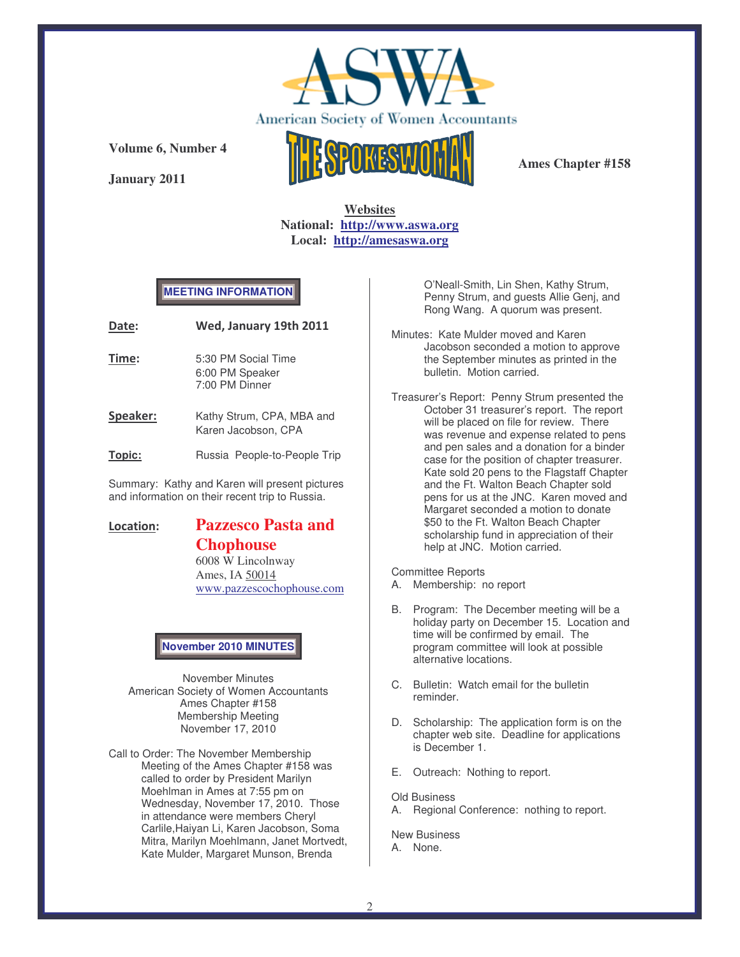

**January 2011**



**Ames Chapter #158**

## **Websites National: http://www.aswa.org Local: http://amesaswa.org**

### **MEETING INFORMATION**

| Date: | Wed, January 19th 2011                                   |
|-------|----------------------------------------------------------|
| Time: | 5:30 PM Social Time<br>6:00 PM Speaker<br>7:00 PM Dinner |
|       |                                                          |

- Speaker: Kathy Strum, CPA, MBA and Karen Jacobson, CPA
- **Topic:** Russia People-to-People Trip

Summary: Kathy and Karen will present pictures and information on their recent trip to Russia.

Location: **Pazzesco Pasta and Chophouse** 6008 W Lincolnway

Ames, IA 50014 www.pazzescochophouse.com

### **November 2010 MINUTES**

November Minutes American Society of Women Accountants Ames Chapter #158 Membership Meeting November 17, 2010

Call to Order: The November Membership Meeting of the Ames Chapter #158 was called to order by President Marilyn Moehlman in Ames at 7:55 pm on Wednesday, November 17, 2010. Those in attendance were members Cheryl Carlile,Haiyan Li, Karen Jacobson, Soma Mitra, Marilyn Moehlmann, Janet Mortvedt, Kate Mulder, Margaret Munson, Brenda

O'Neall-Smith, Lin Shen, Kathy Strum, Penny Strum, and guests Allie Genj, and Rong Wang. A quorum was present.

Minutes: Kate Mulder moved and Karen Jacobson seconded a motion to approve the September minutes as printed in the bulletin. Motion carried.

Treasurer's Report: Penny Strum presented the October 31 treasurer's report. The report will be placed on file for review. There was revenue and expense related to pens and pen sales and a donation for a binder case for the position of chapter treasurer. Kate sold 20 pens to the Flagstaff Chapter and the Ft. Walton Beach Chapter sold pens for us at the JNC. Karen moved and Margaret seconded a motion to donate \$50 to the Ft. Walton Beach Chapter scholarship fund in appreciation of their help at JNC. Motion carried.

Committee Reports

- A. Membership: no report
- B. Program: The December meeting will be a holiday party on December 15. Location and time will be confirmed by email. The program committee will look at possible alternative locations.
- C. Bulletin: Watch email for the bulletin reminder.
- D. Scholarship: The application form is on the chapter web site. Deadline for applications is December 1.
- E. Outreach: Nothing to report.

Old Business

A. Regional Conference: nothing to report.

New Business A. None.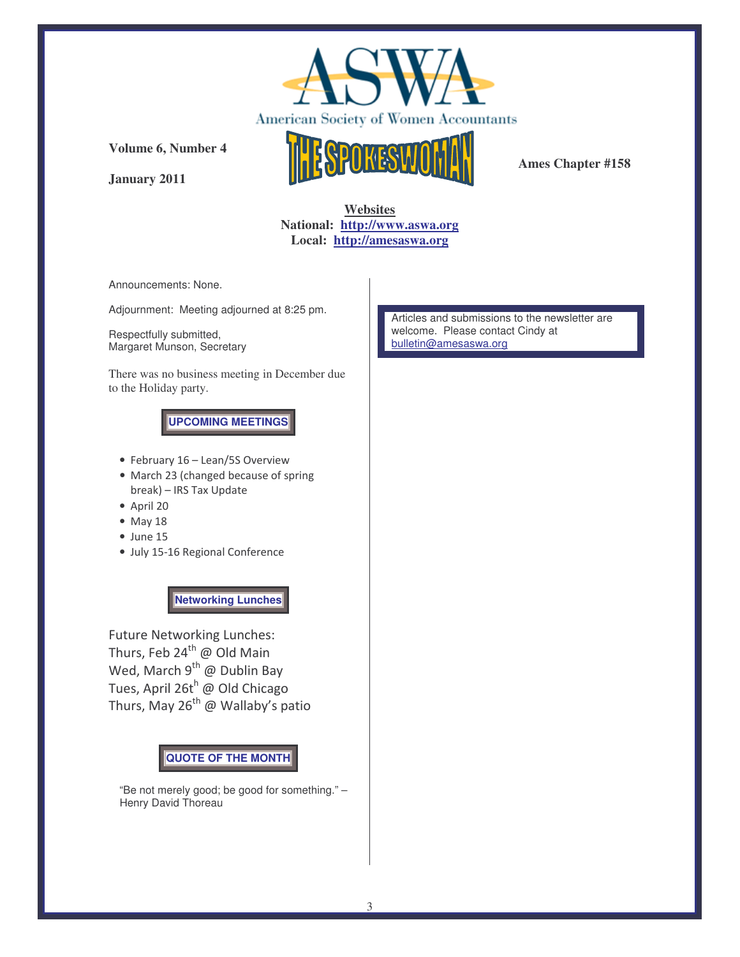

**January 2011**



**Ames Chapter #158**

**Websites National: http://www.aswa.org Local: http://amesaswa.org**

Announcements: None.

Adjournment: Meeting adjourned at 8:25 pm.

Respectfully submitted, Margaret Munson, Secretary

There was no business meeting in December due to the Holiday party.

**UPCOMING MEETINGS**

- February 16 Lean/5S Overview
- March 23 (changed because of spring break) - IRS Tax Update
- $\bullet$  April 20
- $\bullet$  May 18
- $•$  June 15
- · July 15-16 Regional Conference

**Networking Lunches**

Future Networking Lunches: Thurs, Feb 24<sup>th</sup> @ Old Main Wed, March 9<sup>th</sup> @ Dublin Bay Tues, April 26t<sup>h</sup> @ Old Chicago Thurs, May 26<sup>th</sup> @ Wallaby's patio

# **QUOTE OF THE MONTH**

"Be not merely good; be good for something." – Henry David Thoreau

Articles and submissions to the newsletter are welcome. Please contact Cindy at bulletin@amesaswa.org